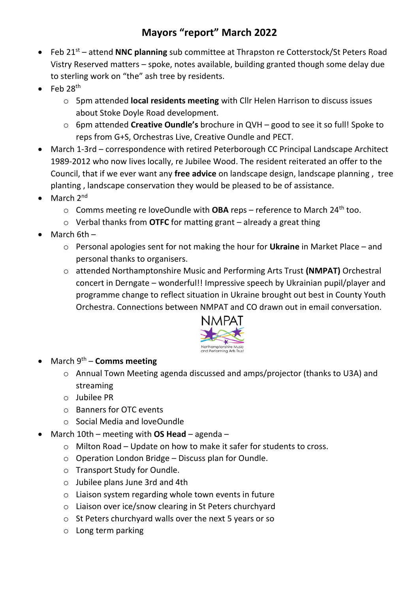## **Mayors "report" March 2022**

- Feb 21<sup>st</sup> attend **NNC planning** sub committee at Thrapston re Cotterstock/St Peters Road Vistry Reserved matters – spoke, notes available, building granted though some delay due to sterling work on "the" ash tree by residents.
- Feb  $28<sup>th</sup>$ 
	- o 5pm attended **local residents meeting** with Cllr Helen Harrison to discuss issues about Stoke Doyle Road development.
	- o 6pm attended **Creative Oundle's** brochure in QVH good to see it so full! Spoke to reps from G+S, Orchestras Live, Creative Oundle and PECT.
- March 1-3rd correspondence with retired Peterborough CC Principal Landscape Architect 1989-2012 who now lives locally, re Jubilee Wood. The resident reiterated an offer to the Council, that if we ever want any **free advice** on landscape design, landscape planning , tree planting , landscape conservation they would be pleased to be of assistance.
- $\bullet$  March  $2^{nd}$ 
	- o Comms meeting re loveOundle with **OBA** reps reference to March 24th too.
	- o Verbal thanks from **OTFC** for matting grant already a great thing
- March 6th
	- o Personal apologies sent for not making the hour for **Ukraine** in Market Place and personal thanks to organisers.
	- o attended Northamptonshire Music and Performing Arts Trust **(NMPAT)** Orchestral concert in Derngate – wonderful!! Impressive speech by Ukrainian pupil/player and programme change to reflect situation in Ukraine brought out best in County Youth Orchestra. Connections between NMPAT and CO drawn out in email conversation.



- March 9th **Comms meeting**
	- o Annual Town Meeting agenda discussed and amps/projector (thanks to U3A) and streaming
	- o Jubilee PR
	- o Banners for OTC events
	- o Social Media and loveOundle
- March 10th meeting with **OS Head** agenda
	- o Milton Road Update on how to make it safer for students to cross.
	- o Operation London Bridge Discuss plan for Oundle.
	- o Transport Study for Oundle.
	- o Jubilee plans June 3rd and 4th
	- o Liaison system regarding whole town events in future
	- o Liaison over ice/snow clearing in St Peters churchyard
	- o St Peters churchyard walls over the next 5 years or so
	- o Long term parking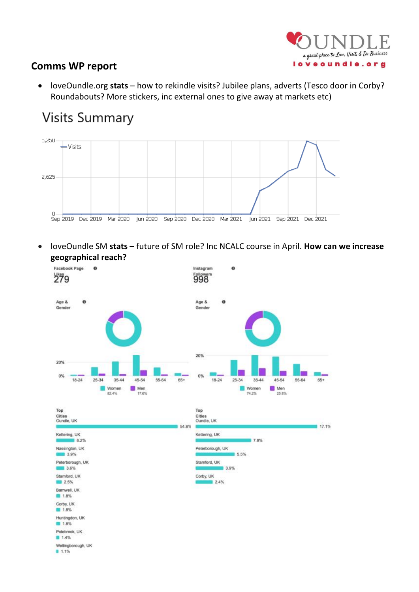

## **Comms WP report**

• loveOundle.org **stats** – how to rekindle visits? Jubilee plans, adverts (Tesco door in Corby? Roundabouts? More stickers, inc external ones to give away at markets etc)

## **Visits Summary**



• loveOundle SM **stats –** future of SM role? Inc NCALC course in April. **How can we increase geographical reach?**